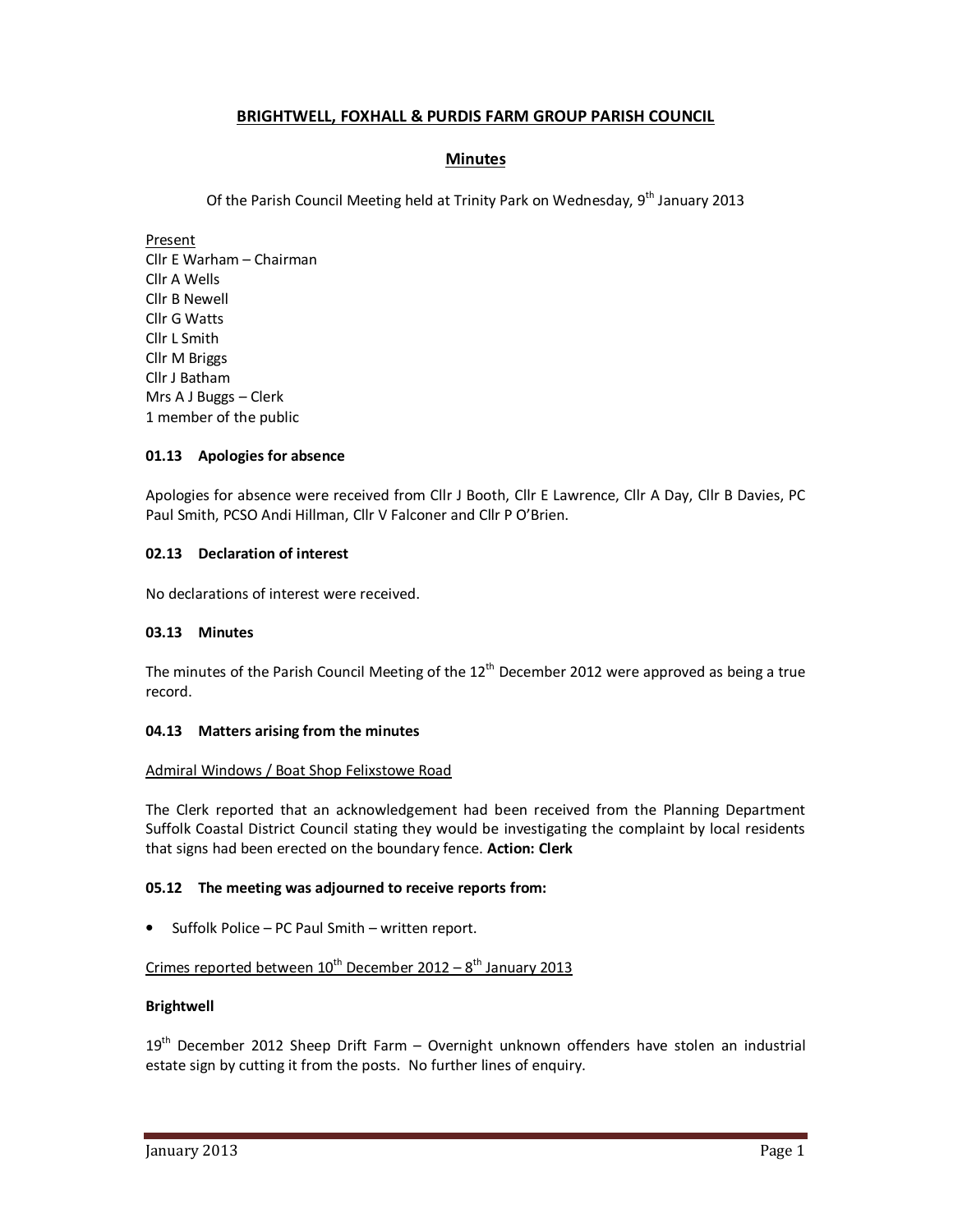# **BRIGHTWELL, FOXHALL & PURDIS FARM GROUP PARISH COUNCIL**

# **Minutes**

Of the Parish Council Meeting held at Trinity Park on Wednesday,  $9<sup>th</sup>$  January 2013

Present Cllr E Warham – Chairman Cllr A Wells Cllr B Newell Cllr G Watts Cllr L Smith Cllr M Briggs Cllr J Batham Mrs A J Buggs – Clerk 1 member of the public

### **01.13 Apologies for absence**

Apologies for absence were received from Cllr J Booth, Cllr E Lawrence, Cllr A Day, Cllr B Davies, PC Paul Smith, PCSO Andi Hillman, Cllr V Falconer and Cllr P O'Brien.

### **02.13 Declaration of interest**

No declarations of interest were received.

### **03.13 Minutes**

The minutes of the Parish Council Meeting of the 12<sup>th</sup> December 2012 were approved as being a true record.

### **04.13 Matters arising from the minutes**

### Admiral Windows / Boat Shop Felixstowe Road

The Clerk reported that an acknowledgement had been received from the Planning Department Suffolk Coastal District Council stating they would be investigating the complaint by local residents that signs had been erected on the boundary fence. **Action: Clerk** 

### **05.12 The meeting was adjourned to receive reports from:**

• Suffolk Police – PC Paul Smith – written report.

# Crimes reported between  $10^{th}$  December 2012 –  $8^{th}$  January 2013

### **Brightwell**

19<sup>th</sup> December 2012 Sheep Drift Farm - Overnight unknown offenders have stolen an industrial estate sign by cutting it from the posts. No further lines of enquiry.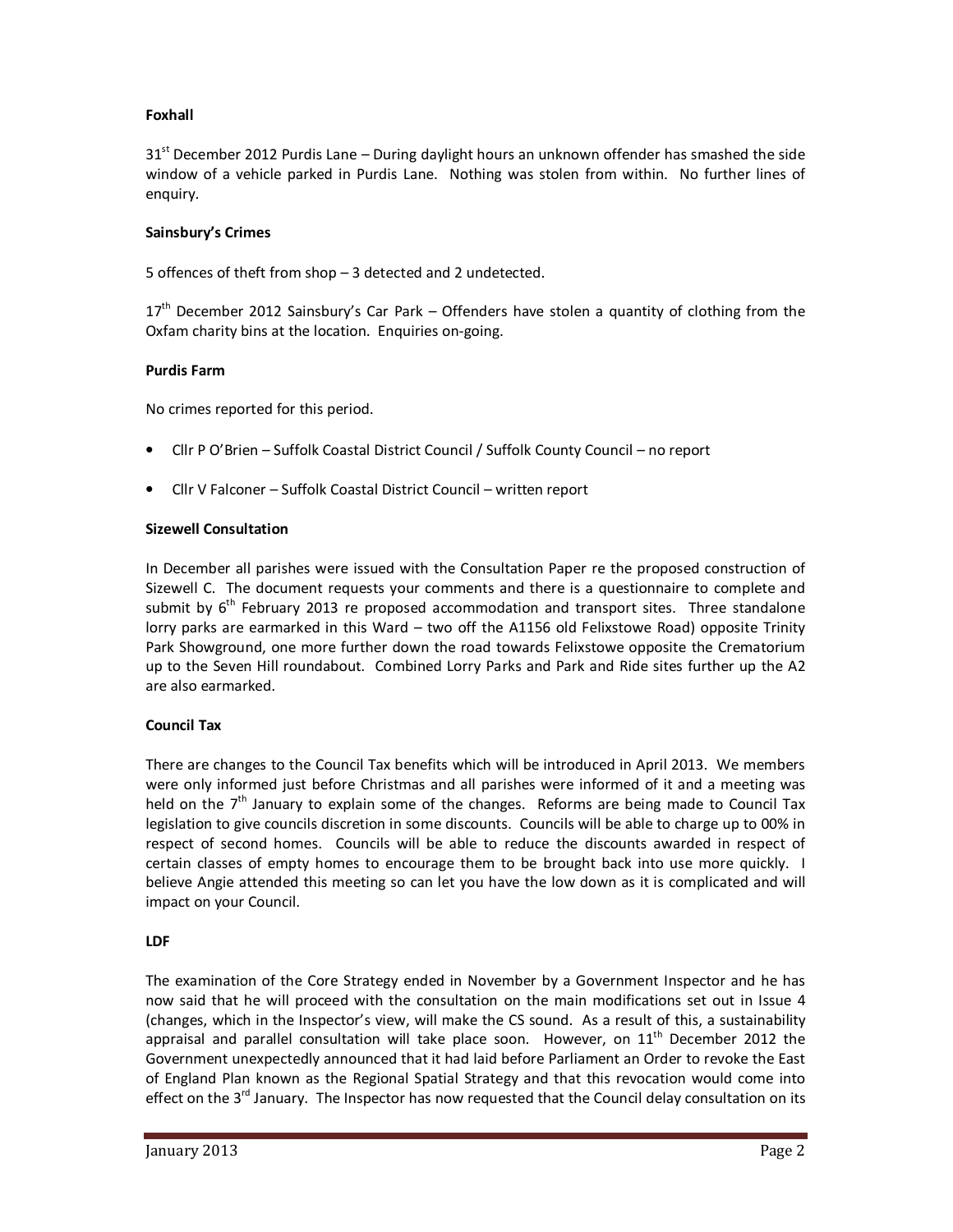# **Foxhall**

 $31<sup>st</sup>$  December 2012 Purdis Lane – During daylight hours an unknown offender has smashed the side window of a vehicle parked in Purdis Lane. Nothing was stolen from within. No further lines of enquiry.

## **Sainsbury's Crimes**

5 offences of theft from shop – 3 detected and 2 undetected.

17<sup>th</sup> December 2012 Sainsbury's Car Park – Offenders have stolen a quantity of clothing from the Oxfam charity bins at the location. Enquiries on-going.

### **Purdis Farm**

No crimes reported for this period.

- Cllr P O'Brien Suffolk Coastal District Council / Suffolk County Council no report
- Cllr V Falconer Suffolk Coastal District Council written report

### **Sizewell Consultation**

In December all parishes were issued with the Consultation Paper re the proposed construction of Sizewell C. The document requests your comments and there is a questionnaire to complete and submit by  $6<sup>th</sup>$  February 2013 re proposed accommodation and transport sites. Three standalone lorry parks are earmarked in this Ward – two off the A1156 old Felixstowe Road) opposite Trinity Park Showground, one more further down the road towards Felixstowe opposite the Crematorium up to the Seven Hill roundabout. Combined Lorry Parks and Park and Ride sites further up the A2 are also earmarked.

### **Council Tax**

There are changes to the Council Tax benefits which will be introduced in April 2013. We members were only informed just before Christmas and all parishes were informed of it and a meeting was held on the  $7<sup>th</sup>$  January to explain some of the changes. Reforms are being made to Council Tax legislation to give councils discretion in some discounts. Councils will be able to charge up to 00% in respect of second homes. Councils will be able to reduce the discounts awarded in respect of certain classes of empty homes to encourage them to be brought back into use more quickly. I believe Angie attended this meeting so can let you have the low down as it is complicated and will impact on your Council.

# **LDF**

The examination of the Core Strategy ended in November by a Government Inspector and he has now said that he will proceed with the consultation on the main modifications set out in Issue 4 (changes, which in the Inspector's view, will make the CS sound. As a result of this, a sustainability appraisal and parallel consultation will take place soon. However, on  $11<sup>th</sup>$  December 2012 the Government unexpectedly announced that it had laid before Parliament an Order to revoke the East of England Plan known as the Regional Spatial Strategy and that this revocation would come into effect on the  $3<sup>rd</sup>$  January. The Inspector has now requested that the Council delay consultation on its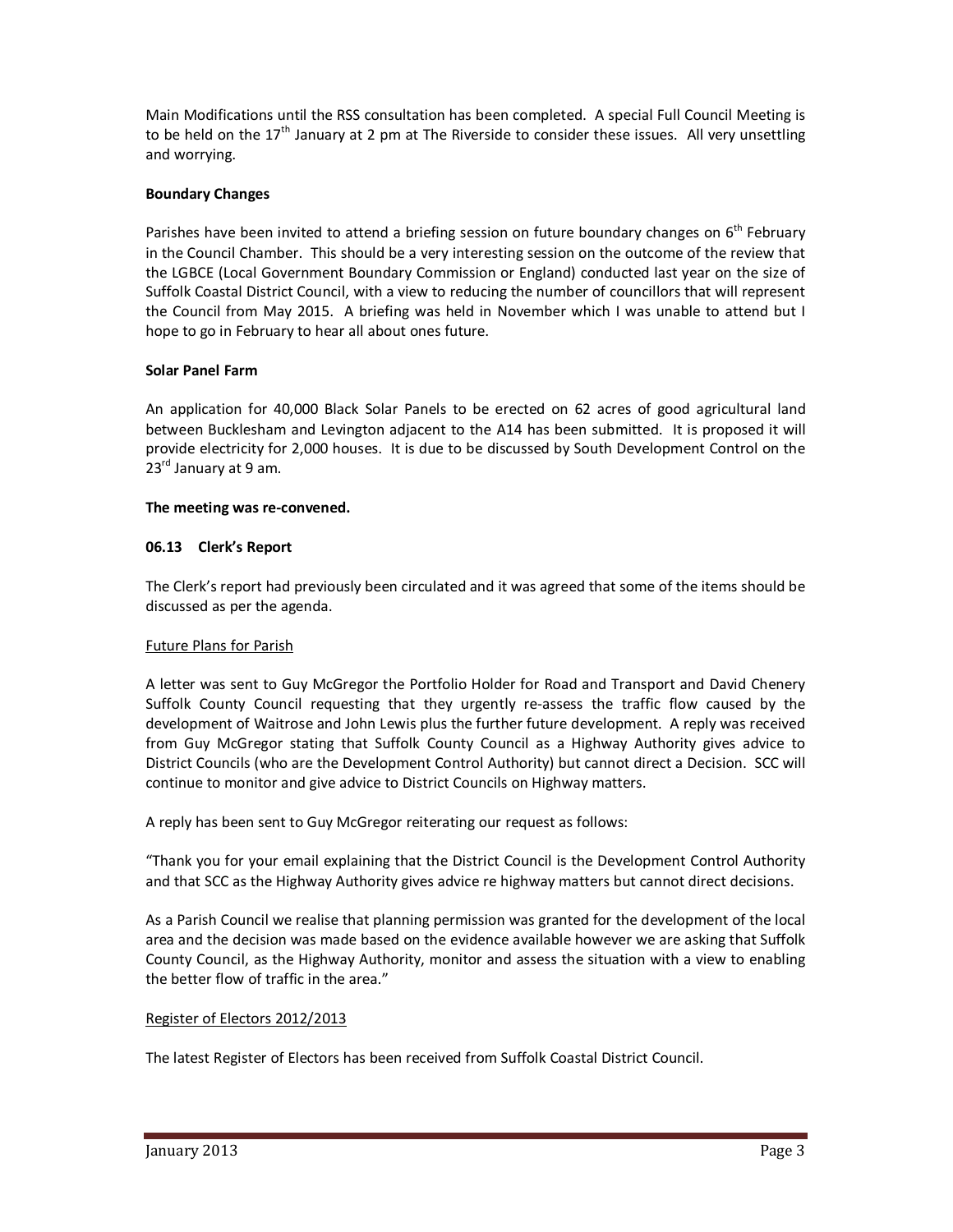Main Modifications until the RSS consultation has been completed. A special Full Council Meeting is to be held on the  $17<sup>th</sup>$  January at 2 pm at The Riverside to consider these issues. All very unsettling and worrying.

# **Boundary Changes**

Parishes have been invited to attend a briefing session on future boundary changes on 6<sup>th</sup> February in the Council Chamber. This should be a very interesting session on the outcome of the review that the LGBCE (Local Government Boundary Commission or England) conducted last year on the size of Suffolk Coastal District Council, with a view to reducing the number of councillors that will represent the Council from May 2015. A briefing was held in November which I was unable to attend but I hope to go in February to hear all about ones future.

# **Solar Panel Farm**

An application for 40,000 Black Solar Panels to be erected on 62 acres of good agricultural land between Bucklesham and Levington adjacent to the A14 has been submitted. It is proposed it will provide electricity for 2,000 houses. It is due to be discussed by South Development Control on the  $23<sup>rd</sup>$  January at 9 am.

# **The meeting was re-convened.**

# **06.13 Clerk's Report**

The Clerk's report had previously been circulated and it was agreed that some of the items should be discussed as per the agenda.

# Future Plans for Parish

A letter was sent to Guy McGregor the Portfolio Holder for Road and Transport and David Chenery Suffolk County Council requesting that they urgently re-assess the traffic flow caused by the development of Waitrose and John Lewis plus the further future development. A reply was received from Guy McGregor stating that Suffolk County Council as a Highway Authority gives advice to District Councils (who are the Development Control Authority) but cannot direct a Decision. SCC will continue to monitor and give advice to District Councils on Highway matters.

A reply has been sent to Guy McGregor reiterating our request as follows:

"Thank you for your email explaining that the District Council is the Development Control Authority and that SCC as the Highway Authority gives advice re highway matters but cannot direct decisions.

As a Parish Council we realise that planning permission was granted for the development of the local area and the decision was made based on the evidence available however we are asking that Suffolk County Council, as the Highway Authority, monitor and assess the situation with a view to enabling the better flow of traffic in the area."

# Register of Electors 2012/2013

The latest Register of Electors has been received from Suffolk Coastal District Council.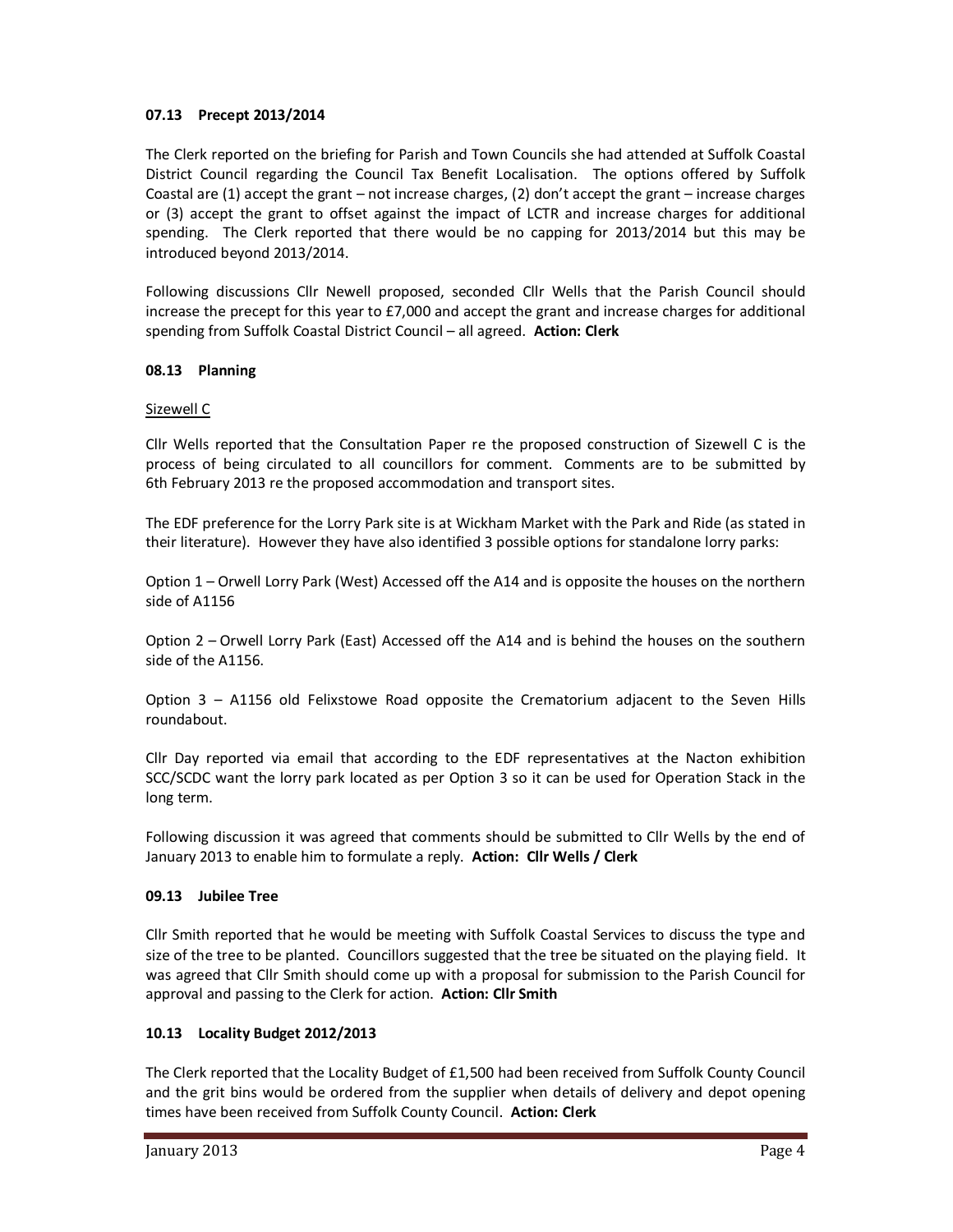# **07.13 Precept 2013/2014**

The Clerk reported on the briefing for Parish and Town Councils she had attended at Suffolk Coastal District Council regarding the Council Tax Benefit Localisation. The options offered by Suffolk Coastal are (1) accept the grant – not increase charges, (2) don't accept the grant – increase charges or (3) accept the grant to offset against the impact of LCTR and increase charges for additional spending. The Clerk reported that there would be no capping for 2013/2014 but this may be introduced beyond 2013/2014.

Following discussions Cllr Newell proposed, seconded Cllr Wells that the Parish Council should increase the precept for this year to £7,000 and accept the grant and increase charges for additional spending from Suffolk Coastal District Council – all agreed. **Action: Clerk**

# **08.13 Planning**

### Sizewell C

Cllr Wells reported that the Consultation Paper re the proposed construction of Sizewell C is the process of being circulated to all councillors for comment. Comments are to be submitted by 6th February 2013 re the proposed accommodation and transport sites.

The EDF preference for the Lorry Park site is at Wickham Market with the Park and Ride (as stated in their literature). However they have also identified 3 possible options for standalone lorry parks:

Option 1 – Orwell Lorry Park (West) Accessed off the A14 and is opposite the houses on the northern side of A1156

Option 2 – Orwell Lorry Park (East) Accessed off the A14 and is behind the houses on the southern side of the A1156.

Option 3 – A1156 old Felixstowe Road opposite the Crematorium adjacent to the Seven Hills roundabout.

Cllr Day reported via email that according to the EDF representatives at the Nacton exhibition SCC/SCDC want the lorry park located as per Option 3 so it can be used for Operation Stack in the long term.

Following discussion it was agreed that comments should be submitted to Cllr Wells by the end of January 2013 to enable him to formulate a reply. **Action: Cllr Wells / Clerk**

# **09.13 Jubilee Tree**

Cllr Smith reported that he would be meeting with Suffolk Coastal Services to discuss the type and size of the tree to be planted. Councillors suggested that the tree be situated on the playing field. It was agreed that Cllr Smith should come up with a proposal for submission to the Parish Council for approval and passing to the Clerk for action. **Action: Cllr Smith** 

# **10.13 Locality Budget 2012/2013**

The Clerk reported that the Locality Budget of £1,500 had been received from Suffolk County Council and the grit bins would be ordered from the supplier when details of delivery and depot opening times have been received from Suffolk County Council. **Action: Clerk**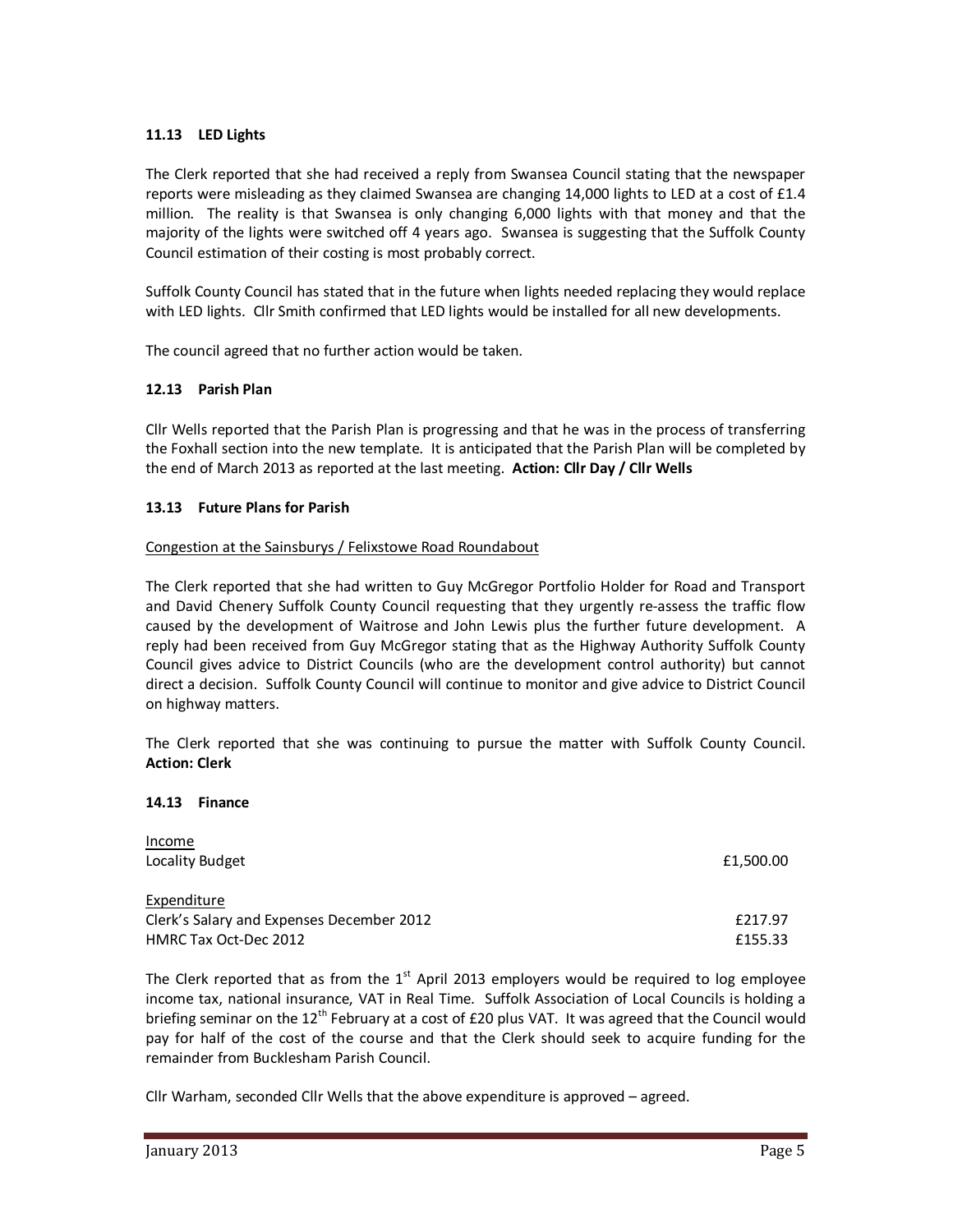## **11.13 LED Lights**

The Clerk reported that she had received a reply from Swansea Council stating that the newspaper reports were misleading as they claimed Swansea are changing  $14,000$  lights to LED at a cost of  $£1.4$ million. The reality is that Swansea is only changing 6,000 lights with that money and that the majority of the lights were switched off 4 years ago. Swansea is suggesting that the Suffolk County Council estimation of their costing is most probably correct.

Suffolk County Council has stated that in the future when lights needed replacing they would replace with LED lights. Cllr Smith confirmed that LED lights would be installed for all new developments.

The council agreed that no further action would be taken.

### **12.13 Parish Plan**

Cllr Wells reported that the Parish Plan is progressing and that he was in the process of transferring the Foxhall section into the new template. It is anticipated that the Parish Plan will be completed by the end of March 2013 as reported at the last meeting. **Action: Cllr Day / Cllr Wells** 

### **13.13 Future Plans for Parish**

### Congestion at the Sainsburys / Felixstowe Road Roundabout

The Clerk reported that she had written to Guy McGregor Portfolio Holder for Road and Transport and David Chenery Suffolk County Council requesting that they urgently re-assess the traffic flow caused by the development of Waitrose and John Lewis plus the further future development. A reply had been received from Guy McGregor stating that as the Highway Authority Suffolk County Council gives advice to District Councils (who are the development control authority) but cannot direct a decision. Suffolk County Council will continue to monitor and give advice to District Council on highway matters.

The Clerk reported that she was continuing to pursue the matter with Suffolk County Council. **Action: Clerk** 

### **14.13 Finance**

| Income                                    |           |
|-------------------------------------------|-----------|
| Locality Budget                           | £1,500.00 |
|                                           |           |
| Expenditure                               |           |
| Clerk's Salary and Expenses December 2012 | £217.97   |
| HMRC Tax Oct-Dec 2012                     | £155.33   |

The Clerk reported that as from the  $1<sup>st</sup>$  April 2013 employers would be required to log employee income tax, national insurance, VAT in Real Time. Suffolk Association of Local Councils is holding a briefing seminar on the 12<sup>th</sup> February at a cost of £20 plus VAT. It was agreed that the Council would pay for half of the cost of the course and that the Clerk should seek to acquire funding for the remainder from Bucklesham Parish Council.

Cllr Warham, seconded Cllr Wells that the above expenditure is approved – agreed.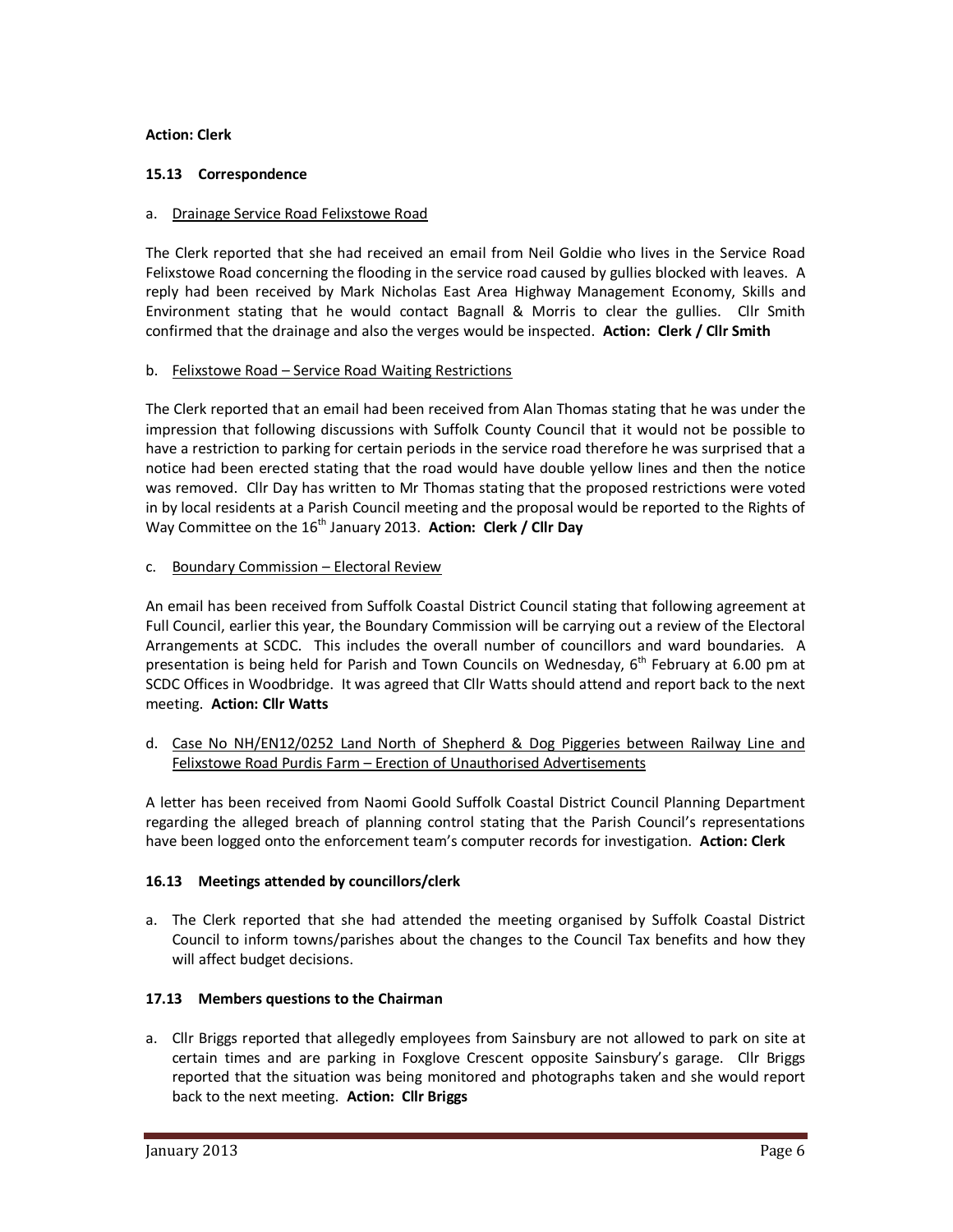## **Action: Clerk**

## **15.13 Correspondence**

## a. Drainage Service Road Felixstowe Road

The Clerk reported that she had received an email from Neil Goldie who lives in the Service Road Felixstowe Road concerning the flooding in the service road caused by gullies blocked with leaves. A reply had been received by Mark Nicholas East Area Highway Management Economy, Skills and Environment stating that he would contact Bagnall & Morris to clear the gullies. Cllr Smith confirmed that the drainage and also the verges would be inspected. **Action: Clerk / Cllr Smith** 

### b. Felixstowe Road – Service Road Waiting Restrictions

The Clerk reported that an email had been received from Alan Thomas stating that he was under the impression that following discussions with Suffolk County Council that it would not be possible to have a restriction to parking for certain periods in the service road therefore he was surprised that a notice had been erected stating that the road would have double yellow lines and then the notice was removed. Cllr Day has written to Mr Thomas stating that the proposed restrictions were voted in by local residents at a Parish Council meeting and the proposal would be reported to the Rights of Way Committee on the 16<sup>th</sup> January 2013. Action: Clerk / Cllr Day

### c. Boundary Commission – Electoral Review

An email has been received from Suffolk Coastal District Council stating that following agreement at Full Council, earlier this year, the Boundary Commission will be carrying out a review of the Electoral Arrangements at SCDC. This includes the overall number of councillors and ward boundaries. A presentation is being held for Parish and Town Councils on Wednesday, 6<sup>th</sup> February at 6.00 pm at SCDC Offices in Woodbridge. It was agreed that Cllr Watts should attend and report back to the next meeting. **Action: Cllr Watts** 

d. Case No NH/EN12/0252 Land North of Shepherd & Dog Piggeries between Railway Line and Felixstowe Road Purdis Farm – Erection of Unauthorised Advertisements

A letter has been received from Naomi Goold Suffolk Coastal District Council Planning Department regarding the alleged breach of planning control stating that the Parish Council's representations have been logged onto the enforcement team's computer records for investigation. **Action: Clerk**

# **16.13 Meetings attended by councillors/clerk**

a. The Clerk reported that she had attended the meeting organised by Suffolk Coastal District Council to inform towns/parishes about the changes to the Council Tax benefits and how they will affect budget decisions.

# **17.13 Members questions to the Chairman**

a. Cllr Briggs reported that allegedly employees from Sainsbury are not allowed to park on site at certain times and are parking in Foxglove Crescent opposite Sainsbury's garage. Cllr Briggs reported that the situation was being monitored and photographs taken and she would report back to the next meeting. **Action: Cllr Briggs**